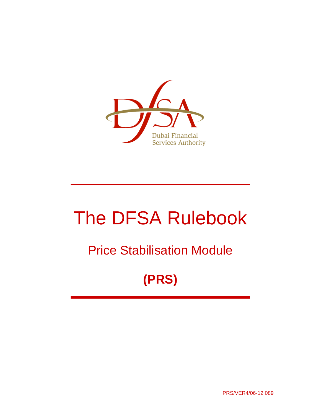

# The DFSA Rulebook

## Price Stabilisation Module

# **(PRS)**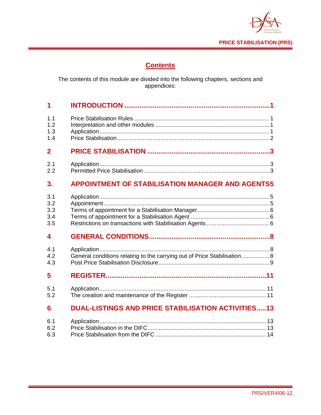

## **Contents**

The contents of this module are divided into the following chapters, sections and appendices:

| 1              |                                                                           |
|----------------|---------------------------------------------------------------------------|
| 1.1            |                                                                           |
| 1.2            |                                                                           |
| 1.3            |                                                                           |
| 1.4            |                                                                           |
| $\overline{2}$ |                                                                           |
| 2.1            |                                                                           |
| 2.2            |                                                                           |
| 3.             | <b>APPOINTMENT OF STABILISATION MANAGER AND AGENTS5</b>                   |
| 3.1            |                                                                           |
| 3.2            |                                                                           |
| 3.3            |                                                                           |
| 3.4            |                                                                           |
| 3.5            |                                                                           |
| 4              |                                                                           |
| 4.1            |                                                                           |
| 4.2            | General conditions relating to the carrying out of Price Stabilisation  8 |
| 4.3            |                                                                           |
| 5              |                                                                           |
| 5.1            |                                                                           |
| 5.2            |                                                                           |
| 6              | <b>DUAL-LISTINGS AND PRICE STABILISATION ACTIVITIES13</b>                 |
| 6.1            |                                                                           |
| 6.2            |                                                                           |
| 6.3            |                                                                           |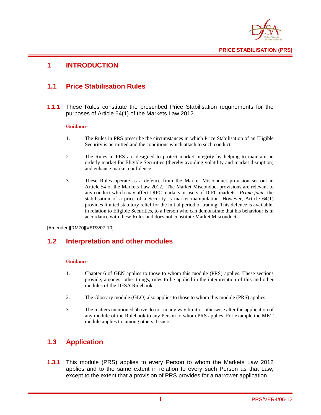

#### **1 INTRODUCTION**

#### **1.1 Price Stabilisation Rules**

**1.1.1** These Rules constitute the prescribed Price Stabilisation requirements for the purposes of Article 64(1) of the Markets Law 2012.

#### **Guidance**

- 1. The Rules in PRS prescribe the circumstances in which Price Stabilisation of an Eligible Security is permitted and the conditions which attach to such conduct.
- 2. The Rules in PRS are designed to protect market integrity by helping to maintain an orderly market for Eligible Securities (thereby avoiding volatility and market disruption) and enhance market confidence.
- 3. These Rules operate as a defence from the Market Misconduct provision set out in Article 54 of the Markets Law 2012. The Market Misconduct provisions are relevant to any conduct which may affect DIFC markets or users of DIFC markets. *Prima facie*, the stabilisation of a price of a Security is market manipulation. However, Article 64(1) provides limited statutory relief for the initial period of trading. This defence is available, in relation to Eligible Securities, to a Person who can demonstrate that his behaviour is in accordance with these Rules and does not constitute Market Misconduct.

[Amended][RM70][VER3/07-10]

#### **1.2 Interpretation and other modules**

#### **Guidance**

- 1. Chapter 6 of GEN applies to those to whom this module (PRS) applies. These sections provide, amongst other things, rules to be applied in the interpretation of this and other modules of the DFSA Rulebook.
- 2. The Glossary module (GLO) also applies to those to whom this module (PRS) applies.
- 3. The matters mentioned above do not in any way limit or otherwise alter the application of any module of the Rulebook to any Person to whom PRS applies. For example the MKT module applies to, among others, Issuers.

## **1.3 Application**

**1.3.1** This module (PRS) applies to every Person to whom the Markets Law 2012 applies and to the same extent in relation to every such Person as that Law, except to the extent that a provision of PRS provides for a narrower application.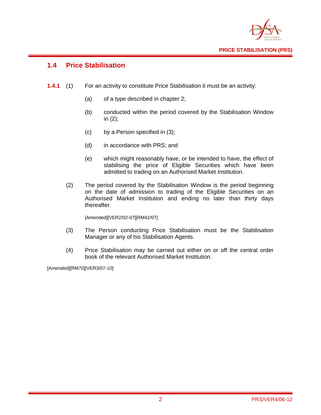

## **1.4 Price Stabilisation**

- **1.4.1** (1) For an activity to constitute Price Stabilisation it must be an activity:
	- (a) of a type described in chapter 2;
	- (b) conducted within the period covered by the Stabilisation Window in (2);
	- (c) by a Person specified in (3);
	- (d) in accordance with PRS; and
	- (e) which might reasonably have, or be intended to have, the effect of stabilising the price of Eligible Securities which have been admitted to trading on an Authorised Market Institution.
	- (2) The period covered by the Stabilisation Window is the period beginning on the date of admission to trading of the Eligible Securities on an Authorised Market Institution and ending no later than thirty days thereafter.

[Amended][VER2/02-07][RM42/07]

- (3) The Person conducting Price Stabilisation must be the Stabilisation Manager or any of his Stabilisation Agents.
- (4) Price Stabilisation may be carried out either on or off the central order book of the relevant Authorised Market Institution.

[Amended][RM70][VER3/07-10]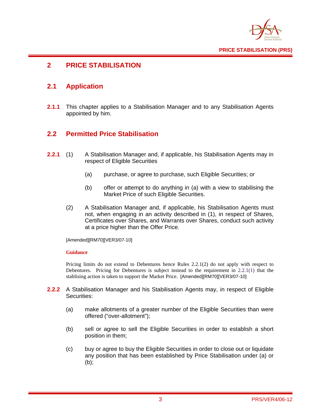

## **2 PRICE STABILISATION**

## **2.1 Application**

**2.1.1** This chapter applies to a Stabilisation Manager and to any Stabilisation Agents appointed by him.

## **2.2 Permitted Price Stabilisation**

- **2.2.1** (1) A Stabilisation Manager and, if applicable, his Stabilisation Agents may in respect of Eligible Securities
	- (a) purchase, or agree to purchase, such Eligible Securities; or
	- (b) offer or attempt to do anything in (a) with a view to stabilising the Market Price of such Eligible Securities.
	- (2) A Stabilisation Manager and, if applicable, his Stabilisation Agents must not, when engaging in an activity described in (1), in respect of Shares, Certificates over Shares, and Warrants over Shares, conduct such activity at a price higher than the Offer Price.

[Amended][RM70][VER3/07-10]

#### **Guidance**

Pricing limits do not extend to Debentures hence Rules 2.2.1(2) do not apply with respect to Debentures. Pricing for Debentures is subject instead to the requirement in 2.2.1(1) that the stablising action is taken to support the Market Price. [Amended][RM70][VER3/07-10]

- **2.2.2** A Stabilisation Manager and his Stabilisation Agents may, in respect of Eligible Securities:
	- (a) make allotments of a greater number of the Eligible Securities than were offered ("over-allotment");
	- (b) sell or agree to sell the Eligible Securities in order to establish a short position in them;
	- (c) buy or agree to buy the Eligible Securities in order to close out or liquidate any position that has been established by Price Stabilisation under (a) or (b);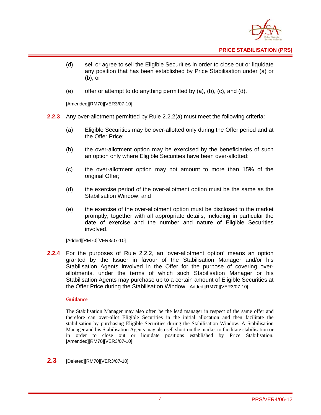

**PRICE STABILISATION (PRS)** 

- (d) sell or agree to sell the Eligible Securities in order to close out or liquidate any position that has been established by Price Stabilisation under (a) or (b); or
- (e) offer or attempt to do anything permitted by (a), (b), (c), and (d).

[Amended][RM70][VER3/07-10]

- **2.2.3** Any over-allotment permitted by Rule 2.2.2(a) must meet the following criteria:
	- (a) Eligible Securities may be over-allotted only during the Offer period and at the Offer Price;
	- (b) the over-allotment option may be exercised by the beneficiaries of such an option only where Eligible Securities have been over-allotted;
	- (c) the over-allotment option may not amount to more than 15% of the original Offer;
	- (d) the exercise period of the over-allotment option must be the same as the Stabilisation Window; and
	- (e) the exercise of the over-allotment option must be disclosed to the market promptly, together with all appropriate details, including in particular the date of exercise and the number and nature of Eligible Securities involved.

[Added][RM70][VER3/07-10]

**2.2.4** For the purposes of Rule 2.2.2, an 'over-allotment option' means an option granted by the Issuer in favour of the Stabilisation Manager and/or his Stabilisation Agents involved in the Offer for the purpose of covering overallotments, under the terms of which such Stabilisation Manager or his Stabilisation Agents may purchase up to a certain amount of Eligible Securities at the Offer Price during the Stabilisation Window. [Added][RM70][VER3/07-10]

#### **Guidance**

The Stabilisation Manager may also often be the lead manager in respect of the same offer and therefore can over-allot Eligible Securities in the initial allocation and then facilitate the stabilisation by purchasing Eligible Securities during the Stabilisation Window. A Stabilisation Manager and his Stabilisation Agents may also sell short on the market to facilitate stabilisation or in order to close out or liquidate positions established by Price Stabilisation. [Amended][RM70][VER3/07-10]

**2.3** [Deleted][RM70][VER3/07-10]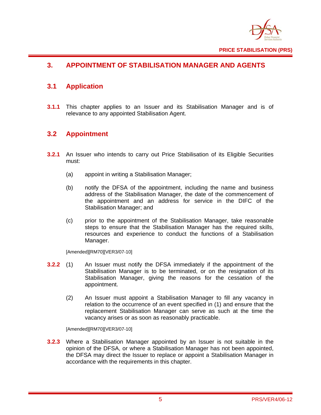

## **3. APPOINTMENT OF STABILISATION MANAGER AND AGENTS**

## **3.1 Application**

**3.1.1** This chapter applies to an Issuer and its Stabilisation Manager and is of relevance to any appointed Stabilisation Agent.

## **3.2 Appointment**

- **3.2.1** An Issuer who intends to carry out Price Stabilisation of its Eligible Securities must:
	- (a) appoint in writing a Stabilisation Manager;
	- (b) notify the DFSA of the appointment, including the name and business address of the Stabilisation Manager, the date of the commencement of the appointment and an address for service in the DIFC of the Stabilisation Manager; and
	- (c) prior to the appointment of the Stabilisation Manager, take reasonable steps to ensure that the Stabilisation Manager has the required skills, resources and experience to conduct the functions of a Stabilisation Manager.

[Amended][RM70][VER3/07-10]

- **3.2.2** (1) An Issuer must notify the DFSA immediately if the appointment of the Stabilisation Manager is to be terminated, or on the resignation of its Stabilisation Manager, giving the reasons for the cessation of the appointment.
	- (2) An Issuer must appoint a Stabilisation Manager to fill any vacancy in relation to the occurrence of an event specified in (1) and ensure that the replacement Stabilisation Manager can serve as such at the time the vacancy arises or as soon as reasonably practicable.

[Amended][RM70][VER3/07-10]

**3.2.3** Where a Stabilisation Manager appointed by an Issuer is not suitable in the opinion of the DFSA, or where a Stabilisation Manager has not been appointed, the DFSA may direct the Issuer to replace or appoint a Stabilisation Manager in accordance with the requirements in this chapter.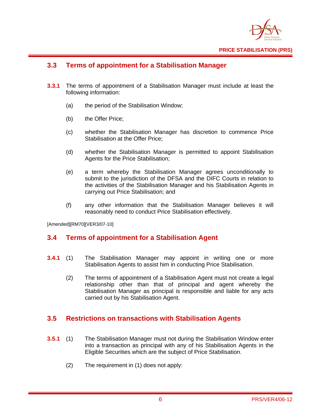

## **3.3 Terms of appointment for a Stabilisation Manager**

- **3.3.1** The terms of appointment of a Stabilisation Manager must include at least the following information:
	- (a) the period of the Stabilisation Window;
	- (b) the Offer Price;
	- (c) whether the Stabilisation Manager has discretion to commence Price Stabilisation at the Offer Price;
	- (d) whether the Stabilisation Manager is permitted to appoint Stabilisation Agents for the Price Stabilisation;
	- (e) a term whereby the Stabilisation Manager agrees unconditionally to submit to the jurisdiction of the DFSA and the DIFC Courts in relation to the activities of the Stabilisation Manager and his Stabilisation Agents in carrying out Price Stabilisation; and
	- (f) any other information that the Stabilisation Manager believes it will reasonably need to conduct Price Stabilisation effectively.

[Amended][RM70][VER3/07-10]

## **3.4 Terms of appointment for a Stabilisation Agent**

- **3.4.1** (1) The Stabilisation Manager may appoint in writing one or more Stabilisation Agents to assist him in conducting Price Stabilisation.
	- (2) The terms of appointment of a Stabilisation Agent must not create a legal relationship other than that of principal and agent whereby the Stabilisation Manager as principal is responsible and liable for any acts carried out by his Stabilisation Agent.

#### **3.5 Restrictions on transactions with Stabilisation Agents**

- **3.5.1** (1) The Stabilisation Manager must not during the Stabilisation Window enter into a transaction as principal with any of his Stabilisation Agents in the Eligible Securities which are the subject of Price Stabilisation.
	- (2) The requirement in (1) does not apply: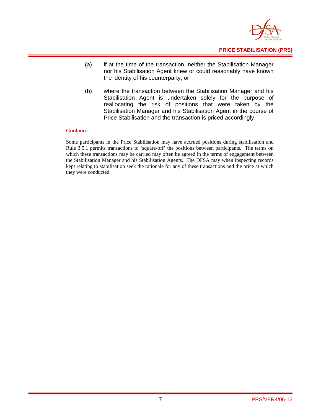

- (a) if at the time of the transaction, neither the Stabilisation Manager nor his Stabilisation Agent knew or could reasonably have known the identity of his counterparty; or
- (b) where the transaction between the Stabilisation Manager and his Stabilisation Agent is undertaken solely for the purpose of reallocating the risk of positions that were taken by the Stabilisation Manager and his Stabilisation Agent in the course of Price Stabilisation and the transaction is priced accordingly.

#### **Guidance**

Some participants in the Price Stabilisation may have accrued positions during stabilisation and Rule 3.5.1 permits transactions to 'square-off' the positions between participants. The terms on which these transactions may be carried may often be agreed in the terms of engagement between the Stabilisation Manager and his Stabilisation Agents. The DFSA may when inspecting records kept relating to stabilisation seek the rationale for any of these transactions and the price at which they were conducted.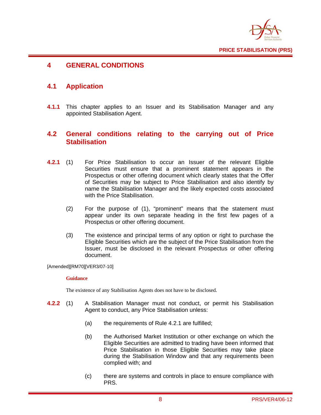

## **4 GENERAL CONDITIONS**

## **4.1 Application**

**4.1.1** This chapter applies to an Issuer and its Stabilisation Manager and any appointed Stabilisation Agent.

#### **4.2 General conditions relating to the carrying out of Price Stabilisation**

- **4.2.1** (1) For Price Stabilisation to occur an Issuer of the relevant Eligible Securities must ensure that a prominent statement appears in the Prospectus or other offering document which clearly states that the Offer of Securities may be subject to Price Stabilisation and also identify by name the Stabilisation Manager and the likely expected costs associated with the Price Stabilisation.
	- (2) For the purpose of (1), "prominent" means that the statement must appear under its own separate heading in the first few pages of a Prospectus or other offering document.
	- (3) The existence and principal terms of any option or right to purchase the Eligible Securities which are the subject of the Price Stabilisation from the Issuer, must be disclosed in the relevant Prospectus or other offering document.

#### [Amended][RM70][VER3/07-10]

#### **Guidance**

The existence of any Stabilisation Agents does not have to be disclosed.

- **4.2.2** (1) A Stabilisation Manager must not conduct, or permit his Stabilisation Agent to conduct, any Price Stabilisation unless:
	- (a) the requirements of Rule 4.2.1 are fulfilled;
	- (b) the Authorised Market Institution or other exchange on which the Eligible Securities are admitted to trading have been informed that Price Stabilisation in those Eligible Securities may take place during the Stabilisation Window and that any requirements been complied with; and
	- (c) there are systems and controls in place to ensure compliance with PRS.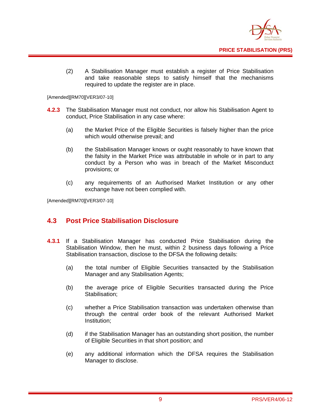

(2) A Stabilisation Manager must establish a register of Price Stabilisation and take reasonable steps to satisfy himself that the mechanisms required to update the register are in place.

[Amended][RM70][VER3/07-10]

- **4.2.3** The Stabilisation Manager must not conduct, nor allow his Stabilisation Agent to conduct, Price Stabilisation in any case where:
	- (a) the Market Price of the Eligible Securities is falsely higher than the price which would otherwise prevail; and
	- (b) the Stabilisation Manager knows or ought reasonably to have known that the falsity in the Market Price was attributable in whole or in part to any conduct by a Person who was in breach of the Market Misconduct provisions; or
	- (c) any requirements of an Authorised Market Institution or any other exchange have not been complied with.

[Amended][RM70][VER3/07-10]

## **4.3 Post Price Stabilisation Disclosure**

- **4.3.1** If a Stabilisation Manager has conducted Price Stabilisation during the Stabilisation Window, then he must, within 2 business days following a Price Stabilisation transaction, disclose to the DFSA the following details:
	- (a) the total number of Eligible Securities transacted by the Stabilisation Manager and any Stabilisation Agents;
	- (b) the average price of Eligible Securities transacted during the Price Stabilisation;
	- (c) whether a Price Stabilisation transaction was undertaken otherwise than through the central order book of the relevant Authorised Market Institution;
	- (d) if the Stabilisation Manager has an outstanding short position, the number of Eligible Securities in that short position; and
	- (e) any additional information which the DFSA requires the Stabilisation Manager to disclose.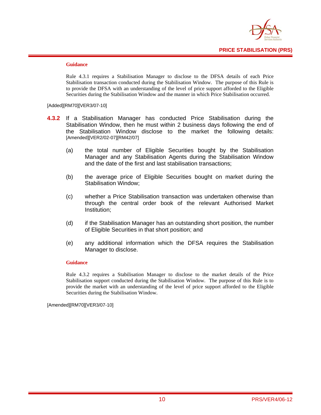

#### **Guidance**

Rule 4.3.1 requires a Stabilisation Manager to disclose to the DFSA details of each Price Stabilisation transaction conducted during the Stabilisation Window. The purpose of this Rule is to provide the DFSA with an understanding of the level of price support afforded to the Eligible Securities during the Stabilisation Window and the manner in which Price Stabilisation occurred.

[Added][RM70][VER3/07-10]

- **4.3.2** If a Stabilisation Manager has conducted Price Stabilisation during the Stabilisation Window, then he must within 2 business days following the end of the Stabilisation Window disclose to the market the following details: [Amended][VER2/02-07][RM42/07]
	- (a) the total number of Eligible Securities bought by the Stabilisation Manager and any Stabilisation Agents during the Stabilisation Window and the date of the first and last stabilisation transactions;
	- (b) the average price of Eligible Securities bought on market during the Stabilisation Window;
	- (c) whether a Price Stabilisation transaction was undertaken otherwise than through the central order book of the relevant Authorised Market Institution;
	- (d) if the Stabilisation Manager has an outstanding short position, the number of Eligible Securities in that short position; and
	- (e) any additional information which the DFSA requires the Stabilisation Manager to disclose.

#### **Guidance**

Rule 4.3.2 requires a Stabilisation Manager to disclose to the market details of the Price Stabilisation support conducted during the Stabilisation Window. The purpose of this Rule is to provide the market with an understanding of the level of price support afforded to the Eligible Securities during the Stabilisation Window.

[Amended][RM70][VER3/07-10]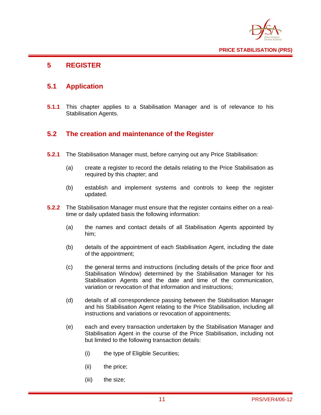

## **5 REGISTER**

## **5.1 Application**

**5.1.1** This chapter applies to a Stabilisation Manager and is of relevance to his Stabilisation Agents.

## **5.2 The creation and maintenance of the Register**

- **5.2.1** The Stabilisation Manager must, before carrying out any Price Stabilisation:
	- (a) create a register to record the details relating to the Price Stabilisation as required by this chapter; and
	- (b) establish and implement systems and controls to keep the register updated.
- **5.2.2** The Stabilisation Manager must ensure that the register contains either on a realtime or daily updated basis the following information:
	- (a) the names and contact details of all Stabilisation Agents appointed by him;
	- (b) details of the appointment of each Stabilisation Agent, including the date of the appointment;
	- (c) the general terms and instructions (including details of the price floor and Stabilisation Window) determined by the Stabilisation Manager for his Stabilisation Agents and the date and time of the communication, variation or revocation of that information and instructions;
	- (d) details of all correspondence passing between the Stabilisation Manager and his Stabilisation Agent relating to the Price Stabilisation, including all instructions and variations or revocation of appointments;
	- (e) each and every transaction undertaken by the Stabilisation Manager and Stabilisation Agent in the course of the Price Stabilisation, including not but limited to the following transaction details:
		- (i) the type of Eligible Securities;
		- (ii) the price;
		- (iii) the size;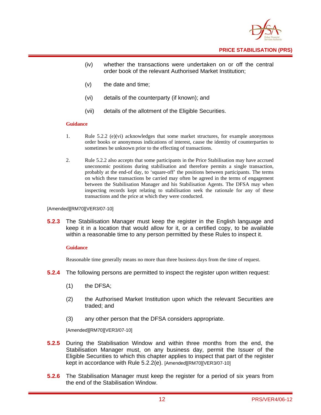

- **PRICE STABILISATION (PRS)**
- (iv) whether the transactions were undertaken on or off the central order book of the relevant Authorised Market Institution;
- (v) the date and time;
- (vi) details of the counterparty (if known); and
- (vii) details of the allotment of the Eligible Securities.

#### **Guidance**

- 1. Rule 5.2.2 (e)(vi) acknowledges that some market structures, for example anonymous order books or anonymous indications of interest, cause the identity of counterparties to sometimes be unknown prior to the effecting of transactions.
- 2. Rule 5.2.2 also accepts that some participants in the Price Stabilisation may have accrued uneconomic positions during stabilisation and therefore permits a single transaction, probably at the end-of day, to 'square-off' the positions between participants. The terms on which these transactions be carried may often be agreed in the terms of engagement between the Stabilisation Manager and his Stabilisation Agents. The DFSA may when inspecting records kept relating to stabilisation seek the rationale for any of these transactions and the price at which they were conducted.

#### [Amended][RM70][VER3/07-10]

**5.2.3** The Stabilisation Manager must keep the register in the English language and keep it in a location that would allow for it, or a certified copy, to be available within a reasonable time to any person permitted by these Rules to inspect it.

#### **Guidance**

Reasonable time generally means no more than three business days from the time of request.

- **5.2.4** The following persons are permitted to inspect the register upon written request:
	- (1) the DFSA;
	- (2) the Authorised Market Institution upon which the relevant Securities are traded; and
	- (3) any other person that the DFSA considers appropriate.

[Amended][RM70][VER3/07-10]

- **5.2.5** During the Stabilisation Window and within three months from the end, the Stabilisation Manager must, on any business day, permit the Issuer of the Eligible Securities to which this chapter applies to inspect that part of the register kept in accordance with Rule 5.2.2(e). [Amended][RM70][VER3/07-10]
- **5.2.6** The Stabilisation Manager must keep the register for a period of six years from the end of the Stabilisation Window.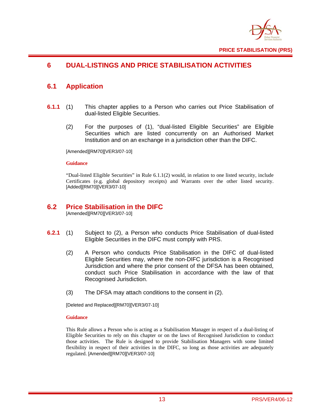

## **6 DUAL-LISTINGS AND PRICE STABILISATION ACTIVITIES**

## **6.1 Application**

- **6.1.1** (1) This chapter applies to a Person who carries out Price Stabilisation of dual-listed Eligible Securities.
	- (2) For the purposes of (1), "dual-listed Eligible Securities" are Eligible Securities which are listed concurrently on an Authorised Market Institution and on an exchange in a jurisdiction other than the DIFC.

[Amended][RM70][VER3/07-10]

#### **Guidance**

"Dual-listed Eligible Securities" in Rule 6.1.1(2) would, in relation to one listed security, include Certificates (e.g. global depository receipts) and Warrants over the other listed security. [Added][RM70][VER3/07-10]

## **6.2 Price Stabilisation in the DIFC**

[Amended][RM70][VER3/07-10]

- **6.2.1** (1) Subject to (2), a Person who conducts Price Stabilisation of dual-listed Eligible Securities in the DIFC must comply with PRS.
	- (2) A Person who conducts Price Stabilisation in the DIFC of dual-listed Eligible Securities may, where the non-DIFC jurisdiction is a Recognised Jurisdiction and where the prior consent of the DFSA has been obtained, conduct such Price Stabilisation in accordance with the law of that Recognised Jurisdiction.
	- (3) The DFSA may attach conditions to the consent in (2).

[Deleted and Replaced][RM70][VER3/07-10]

#### **Guidance**

This Rule allows a Person who is acting as a Stabilisation Manager in respect of a dual-listing of Eligible Securities to rely on this chapter or on the laws of Recognised Jurisdiction to conduct those activities. The Rule is designed to provide Stabilisation Managers with some limited flexibility in respect of their activities in the DIFC, so long as those activities are adequately regulated. [Amended][RM70][VER3/07-10]